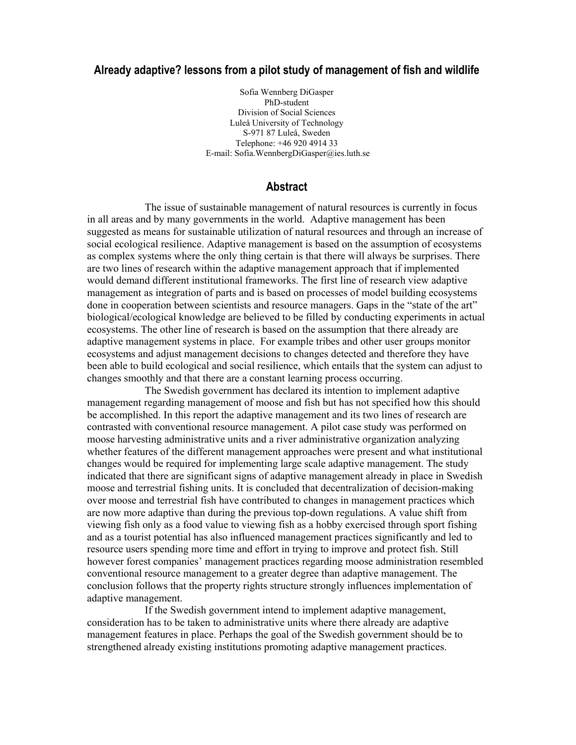# **Already adaptive? lessons from a pilot study of management of fish and wildlife**

Sofia Wennberg DiGasper PhD-student Division of Social Sciences Luleå University of Technology S-971 87 Luleå, Sweden Telephone: +46 920 4914 33 E-mail: Sofia.WennbergDiGasper@ies.luth.se

# **Abstract**

The issue of sustainable management of natural resources is currently in focus in all areas and by many governments in the world. Adaptive management has been suggested as means for sustainable utilization of natural resources and through an increase of social ecological resilience. Adaptive management is based on the assumption of ecosystems as complex systems where the only thing certain is that there will always be surprises. There are two lines of research within the adaptive management approach that if implemented would demand different institutional frameworks. The first line of research view adaptive management as integration of parts and is based on processes of model building ecosystems done in cooperation between scientists and resource managers. Gaps in the "state of the art" biological/ecological knowledge are believed to be filled by conducting experiments in actual ecosystems. The other line of research is based on the assumption that there already are adaptive management systems in place. For example tribes and other user groups monitor ecosystems and adjust management decisions to changes detected and therefore they have been able to build ecological and social resilience, which entails that the system can adjust to changes smoothly and that there are a constant learning process occurring.

 The Swedish government has declared its intention to implement adaptive management regarding management of moose and fish but has not specified how this should be accomplished. In this report the adaptive management and its two lines of research are contrasted with conventional resource management. A pilot case study was performed on moose harvesting administrative units and a river administrative organization analyzing whether features of the different management approaches were present and what institutional changes would be required for implementing large scale adaptive management. The study indicated that there are significant signs of adaptive management already in place in Swedish moose and terrestrial fishing units. It is concluded that decentralization of decision-making over moose and terrestrial fish have contributed to changes in management practices which are now more adaptive than during the previous top-down regulations. A value shift from viewing fish only as a food value to viewing fish as a hobby exercised through sport fishing and as a tourist potential has also influenced management practices significantly and led to resource users spending more time and effort in trying to improve and protect fish. Still however forest companies' management practices regarding moose administration resembled conventional resource management to a greater degree than adaptive management. The conclusion follows that the property rights structure strongly influences implementation of adaptive management.

 If the Swedish government intend to implement adaptive management, consideration has to be taken to administrative units where there already are adaptive management features in place. Perhaps the goal of the Swedish government should be to strengthened already existing institutions promoting adaptive management practices.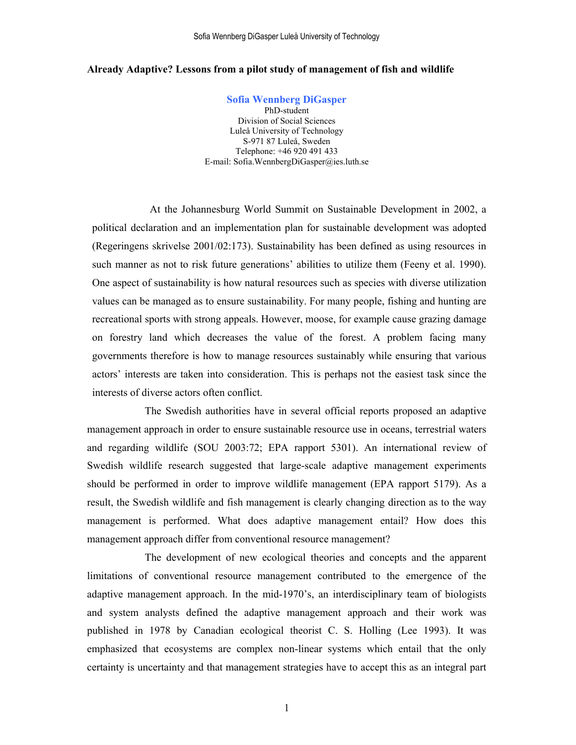Sofia Wennberg DiGasper Luleå University of Technology

#### **Already Adaptive? Lessons from a pilot study of management of fish and wildlife**

**Sofia Wennberg DiGasper**  PhD-student Division of Social Sciences Luleå University of Technology S-971 87 Luleå, Sweden Telephone: +46 920 491 433 E-mail: Sofia.WennbergDiGasper@ies.luth.se

At the Johannesburg World Summit on Sustainable Development in 2002, a political declaration and an implementation plan for sustainable development was adopted (Regeringens skrivelse 2001/02:173). Sustainability has been defined as using resources in such manner as not to risk future generations' abilities to utilize them (Feeny et al. 1990). One aspect of sustainability is how natural resources such as species with diverse utilization values can be managed as to ensure sustainability. For many people, fishing and hunting are recreational sports with strong appeals. However, moose, for example cause grazing damage on forestry land which decreases the value of the forest. A problem facing many governments therefore is how to manage resources sustainably while ensuring that various actors' interests are taken into consideration. This is perhaps not the easiest task since the interests of diverse actors often conflict.

The Swedish authorities have in several official reports proposed an adaptive management approach in order to ensure sustainable resource use in oceans, terrestrial waters and regarding wildlife (SOU 2003:72; EPA rapport 5301). An international review of Swedish wildlife research suggested that large-scale adaptive management experiments should be performed in order to improve wildlife management (EPA rapport 5179). As a result, the Swedish wildlife and fish management is clearly changing direction as to the way management is performed. What does adaptive management entail? How does this management approach differ from conventional resource management?

The development of new ecological theories and concepts and the apparent limitations of conventional resource management contributed to the emergence of the adaptive management approach. In the mid-1970's, an interdisciplinary team of biologists and system analysts defined the adaptive management approach and their work was published in 1978 by Canadian ecological theorist C. S. Holling (Lee 1993). It was emphasized that ecosystems are complex non-linear systems which entail that the only certainty is uncertainty and that management strategies have to accept this as an integral part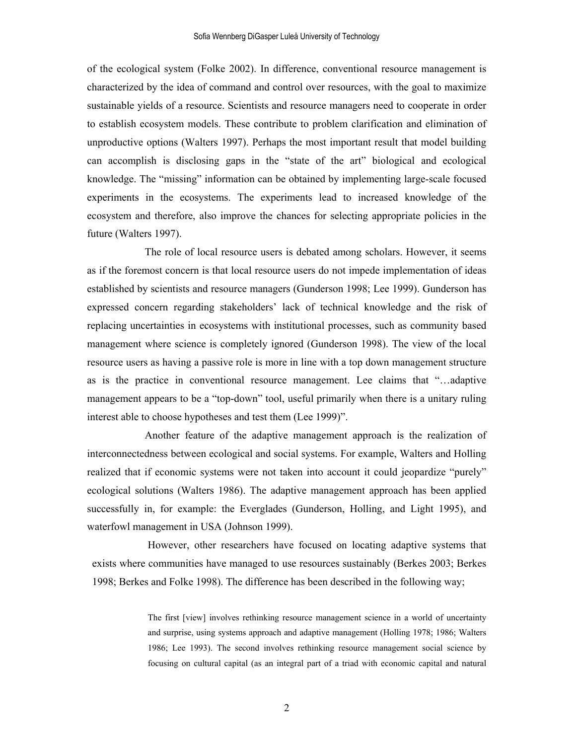of the ecological system (Folke 2002). In difference, conventional resource management is characterized by the idea of command and control over resources, with the goal to maximize sustainable yields of a resource. Scientists and resource managers need to cooperate in order to establish ecosystem models. These contribute to problem clarification and elimination of unproductive options (Walters 1997). Perhaps the most important result that model building can accomplish is disclosing gaps in the "state of the art" biological and ecological knowledge. The "missing" information can be obtained by implementing large-scale focused experiments in the ecosystems. The experiments lead to increased knowledge of the ecosystem and therefore, also improve the chances for selecting appropriate policies in the future (Walters 1997).

The role of local resource users is debated among scholars. However, it seems as if the foremost concern is that local resource users do not impede implementation of ideas established by scientists and resource managers (Gunderson 1998; Lee 1999). Gunderson has expressed concern regarding stakeholders' lack of technical knowledge and the risk of replacing uncertainties in ecosystems with institutional processes, such as community based management where science is completely ignored (Gunderson 1998). The view of the local resource users as having a passive role is more in line with a top down management structure as is the practice in conventional resource management. Lee claims that "…adaptive management appears to be a "top-down" tool, useful primarily when there is a unitary ruling interest able to choose hypotheses and test them (Lee 1999)".

Another feature of the adaptive management approach is the realization of interconnectedness between ecological and social systems. For example, Walters and Holling realized that if economic systems were not taken into account it could jeopardize "purely" ecological solutions (Walters 1986). The adaptive management approach has been applied successfully in, for example: the Everglades (Gunderson, Holling, and Light 1995), and waterfowl management in USA (Johnson 1999).

However, other researchers have focused on locating adaptive systems that exists where communities have managed to use resources sustainably (Berkes 2003; Berkes 1998; Berkes and Folke 1998). The difference has been described in the following way;

> The first [view] involves rethinking resource management science in a world of uncertainty and surprise, using systems approach and adaptive management (Holling 1978; 1986; Walters 1986; Lee 1993). The second involves rethinking resource management social science by focusing on cultural capital (as an integral part of a triad with economic capital and natural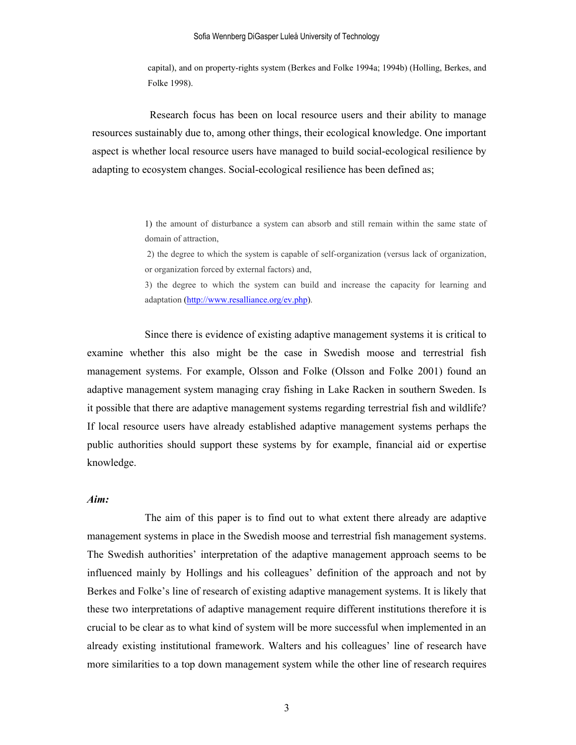capital), and on property-rights system (Berkes and Folke 1994a; 1994b) (Holling, Berkes, and Folke 1998).

Research focus has been on local resource users and their ability to manage resources sustainably due to, among other things, their ecological knowledge. One important aspect is whether local resource users have managed to build social-ecological resilience by adapting to ecosystem changes. Social-ecological resilience has been defined as;

> 1) the amount of disturbance a system can absorb and still remain within the same state of domain of attraction,

> 2) the degree to which the system is capable of self-organization (versus lack of organization, or organization forced by external factors) and,

> 3) the degree to which the system can build and increase the capacity for learning and adaptation (http://www.resalliance.org/ev.php).

Since there is evidence of existing adaptive management systems it is critical to examine whether this also might be the case in Swedish moose and terrestrial fish management systems. For example, Olsson and Folke (Olsson and Folke 2001) found an adaptive management system managing cray fishing in Lake Racken in southern Sweden. Is it possible that there are adaptive management systems regarding terrestrial fish and wildlife? If local resource users have already established adaptive management systems perhaps the public authorities should support these systems by for example, financial aid or expertise knowledge.

### *Aim:*

The aim of this paper is to find out to what extent there already are adaptive management systems in place in the Swedish moose and terrestrial fish management systems. The Swedish authorities' interpretation of the adaptive management approach seems to be influenced mainly by Hollings and his colleagues' definition of the approach and not by Berkes and Folke's line of research of existing adaptive management systems. It is likely that these two interpretations of adaptive management require different institutions therefore it is crucial to be clear as to what kind of system will be more successful when implemented in an already existing institutional framework. Walters and his colleagues' line of research have more similarities to a top down management system while the other line of research requires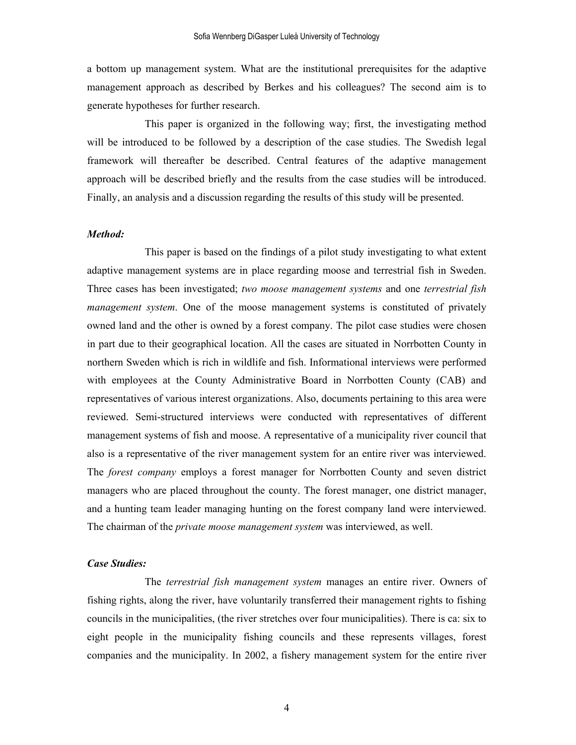a bottom up management system. What are the institutional prerequisites for the adaptive management approach as described by Berkes and his colleagues? The second aim is to generate hypotheses for further research.

 This paper is organized in the following way; first, the investigating method will be introduced to be followed by a description of the case studies. The Swedish legal framework will thereafter be described. Central features of the adaptive management approach will be described briefly and the results from the case studies will be introduced. Finally, an analysis and a discussion regarding the results of this study will be presented.

## *Method:*

 This paper is based on the findings of a pilot study investigating to what extent adaptive management systems are in place regarding moose and terrestrial fish in Sweden. Three cases has been investigated; *two moose management systems* and one *terrestrial fish management system*. One of the moose management systems is constituted of privately owned land and the other is owned by a forest company. The pilot case studies were chosen in part due to their geographical location. All the cases are situated in Norrbotten County in northern Sweden which is rich in wildlife and fish. Informational interviews were performed with employees at the County Administrative Board in Norrbotten County (CAB) and representatives of various interest organizations. Also, documents pertaining to this area were reviewed. Semi-structured interviews were conducted with representatives of different management systems of fish and moose. A representative of a municipality river council that also is a representative of the river management system for an entire river was interviewed. The *forest company* employs a forest manager for Norrbotten County and seven district managers who are placed throughout the county. The forest manager, one district manager, and a hunting team leader managing hunting on the forest company land were interviewed. The chairman of the *private moose management system* was interviewed, as well.

## *Case Studies:*

 The *terrestrial fish management system* manages an entire river. Owners of fishing rights, along the river, have voluntarily transferred their management rights to fishing councils in the municipalities, (the river stretches over four municipalities). There is ca: six to eight people in the municipality fishing councils and these represents villages, forest companies and the municipality. In 2002, a fishery management system for the entire river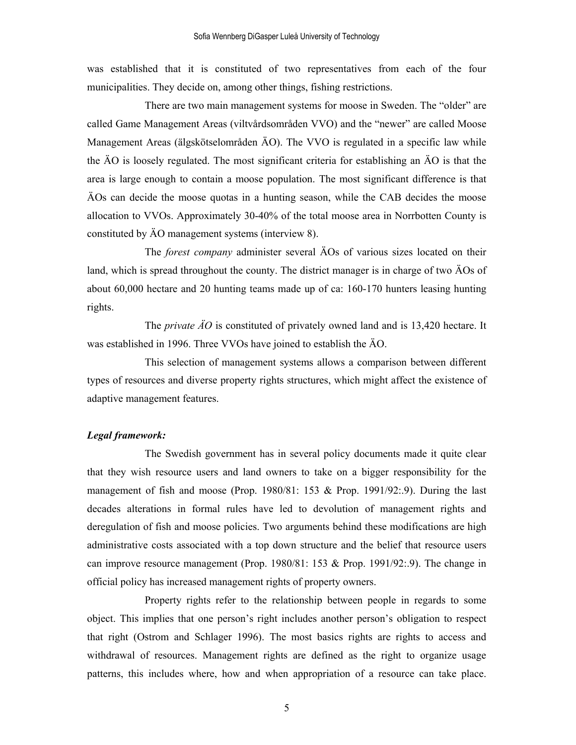was established that it is constituted of two representatives from each of the four municipalities. They decide on, among other things, fishing restrictions.

 There are two main management systems for moose in Sweden. The "older" are called Game Management Areas (viltvårdsområden VVO) and the "newer" are called Moose Management Areas (älgskötselområden ÄO). The VVO is regulated in a specific law while the ÄO is loosely regulated. The most significant criteria for establishing an ÄO is that the area is large enough to contain a moose population. The most significant difference is that ÄOs can decide the moose quotas in a hunting season, while the CAB decides the moose allocation to VVOs. Approximately 30-40% of the total moose area in Norrbotten County is constituted by ÄO management systems (interview 8).

 The *forest company* administer several ÄOs of various sizes located on their land, which is spread throughout the county. The district manager is in charge of two ÄOs of about 60,000 hectare and 20 hunting teams made up of ca: 160-170 hunters leasing hunting rights.

 The *private ÄO* is constituted of privately owned land and is 13,420 hectare. It was established in 1996. Three VVOs have joined to establish the ÄO.

 This selection of management systems allows a comparison between different types of resources and diverse property rights structures, which might affect the existence of adaptive management features.

# *Legal framework:*

The Swedish government has in several policy documents made it quite clear that they wish resource users and land owners to take on a bigger responsibility for the management of fish and moose (Prop. 1980/81: 153 & Prop. 1991/92:.9). During the last decades alterations in formal rules have led to devolution of management rights and deregulation of fish and moose policies. Two arguments behind these modifications are high administrative costs associated with a top down structure and the belief that resource users can improve resource management (Prop. 1980/81: 153 & Prop. 1991/92:.9). The change in official policy has increased management rights of property owners.

Property rights refer to the relationship between people in regards to some object. This implies that one person's right includes another person's obligation to respect that right (Ostrom and Schlager 1996). The most basics rights are rights to access and withdrawal of resources. Management rights are defined as the right to organize usage patterns, this includes where, how and when appropriation of a resource can take place.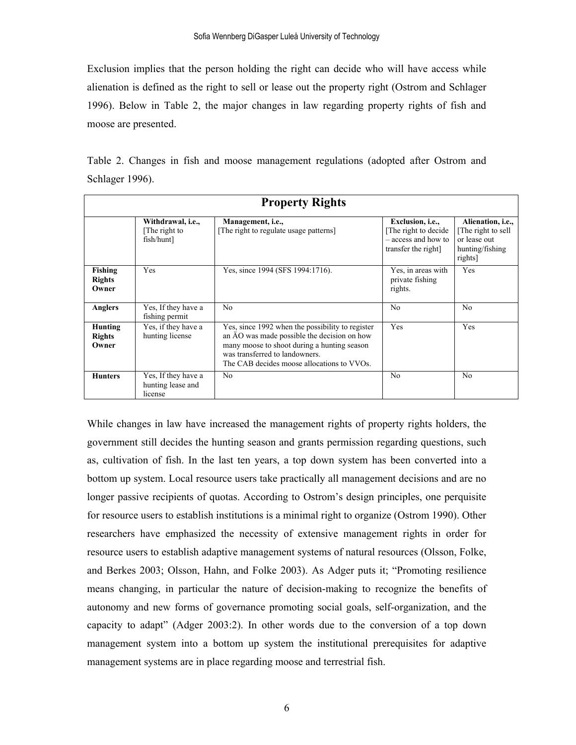Exclusion implies that the person holding the right can decide who will have access while alienation is defined as the right to sell or lease out the property right (Ostrom and Schlager 1996). Below in Table 2, the major changes in law regarding property rights of fish and moose are presented.

Table 2. Changes in fish and moose management regulations (adopted after Ostrom and Schlager 1996).

| <b>Property Rights</b>                   |                                                     |                                                                                                                                                                                                                                |                                                                                               |                                                                                      |  |  |  |  |  |  |
|------------------------------------------|-----------------------------------------------------|--------------------------------------------------------------------------------------------------------------------------------------------------------------------------------------------------------------------------------|-----------------------------------------------------------------------------------------------|--------------------------------------------------------------------------------------|--|--|--|--|--|--|
|                                          | Withdrawal, i.e.,<br>The right to<br>fish/hunt]     | Management, i.e.,<br>The right to regulate usage patterns                                                                                                                                                                      | Exclusion, <i>i.e.</i> ,<br>The right to decide<br>- access and how to<br>transfer the right] | Alienation, i.e.,<br>The right to sell<br>or lease out<br>hunting/fishing<br>rights] |  |  |  |  |  |  |
| <b>Fishing</b><br><b>Rights</b><br>Owner | Yes                                                 | Yes, since 1994 (SFS 1994:1716).                                                                                                                                                                                               | Yes, in areas with<br>private fishing<br>rights.                                              | Yes                                                                                  |  |  |  |  |  |  |
| <b>Anglers</b>                           | Yes, If they have a<br>fishing permit               | N <sub>0</sub>                                                                                                                                                                                                                 | N <sub>0</sub>                                                                                | N <sub>0</sub>                                                                       |  |  |  |  |  |  |
| Hunting<br><b>Rights</b><br>Owner        | Yes, if they have a<br>hunting license              | Yes, since 1992 when the possibility to register<br>an AO was made possible the decision on how<br>many moose to shoot during a hunting season<br>was transferred to landowners.<br>The CAB decides moose allocations to VVOs. | <b>Yes</b>                                                                                    | Yes                                                                                  |  |  |  |  |  |  |
| <b>Hunters</b>                           | Yes, If they have a<br>hunting lease and<br>license | N <sub>0</sub>                                                                                                                                                                                                                 | N <sub>0</sub>                                                                                | N <sub>0</sub>                                                                       |  |  |  |  |  |  |

While changes in law have increased the management rights of property rights holders, the government still decides the hunting season and grants permission regarding questions, such as, cultivation of fish. In the last ten years, a top down system has been converted into a bottom up system. Local resource users take practically all management decisions and are no longer passive recipients of quotas. According to Ostrom's design principles, one perquisite for resource users to establish institutions is a minimal right to organize (Ostrom 1990). Other researchers have emphasized the necessity of extensive management rights in order for resource users to establish adaptive management systems of natural resources (Olsson, Folke, and Berkes 2003; Olsson, Hahn, and Folke 2003). As Adger puts it; "Promoting resilience means changing, in particular the nature of decision-making to recognize the benefits of autonomy and new forms of governance promoting social goals, self-organization, and the capacity to adapt" (Adger 2003:2). In other words due to the conversion of a top down management system into a bottom up system the institutional prerequisites for adaptive management systems are in place regarding moose and terrestrial fish.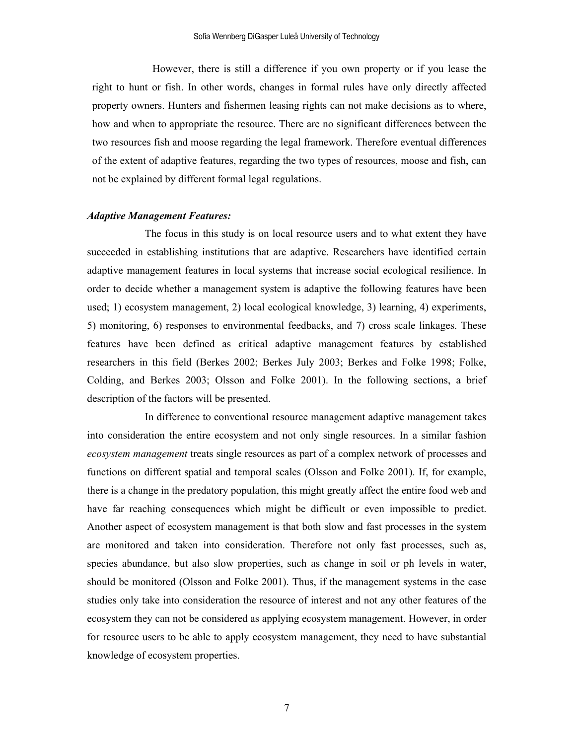However, there is still a difference if you own property or if you lease the right to hunt or fish. In other words, changes in formal rules have only directly affected property owners. Hunters and fishermen leasing rights can not make decisions as to where, how and when to appropriate the resource. There are no significant differences between the two resources fish and moose regarding the legal framework. Therefore eventual differences of the extent of adaptive features, regarding the two types of resources, moose and fish, can not be explained by different formal legal regulations.

#### *Adaptive Management Features:*

 The focus in this study is on local resource users and to what extent they have succeeded in establishing institutions that are adaptive. Researchers have identified certain adaptive management features in local systems that increase social ecological resilience. In order to decide whether a management system is adaptive the following features have been used; 1) ecosystem management, 2) local ecological knowledge, 3) learning, 4) experiments, 5) monitoring, 6) responses to environmental feedbacks, and 7) cross scale linkages. These features have been defined as critical adaptive management features by established researchers in this field (Berkes 2002; Berkes July 2003; Berkes and Folke 1998; Folke, Colding, and Berkes 2003; Olsson and Folke 2001). In the following sections, a brief description of the factors will be presented.

 In difference to conventional resource management adaptive management takes into consideration the entire ecosystem and not only single resources. In a similar fashion *ecosystem management* treats single resources as part of a complex network of processes and functions on different spatial and temporal scales (Olsson and Folke 2001). If, for example, there is a change in the predatory population, this might greatly affect the entire food web and have far reaching consequences which might be difficult or even impossible to predict. Another aspect of ecosystem management is that both slow and fast processes in the system are monitored and taken into consideration. Therefore not only fast processes, such as, species abundance, but also slow properties, such as change in soil or ph levels in water, should be monitored (Olsson and Folke 2001). Thus, if the management systems in the case studies only take into consideration the resource of interest and not any other features of the ecosystem they can not be considered as applying ecosystem management. However, in order for resource users to be able to apply ecosystem management, they need to have substantial knowledge of ecosystem properties.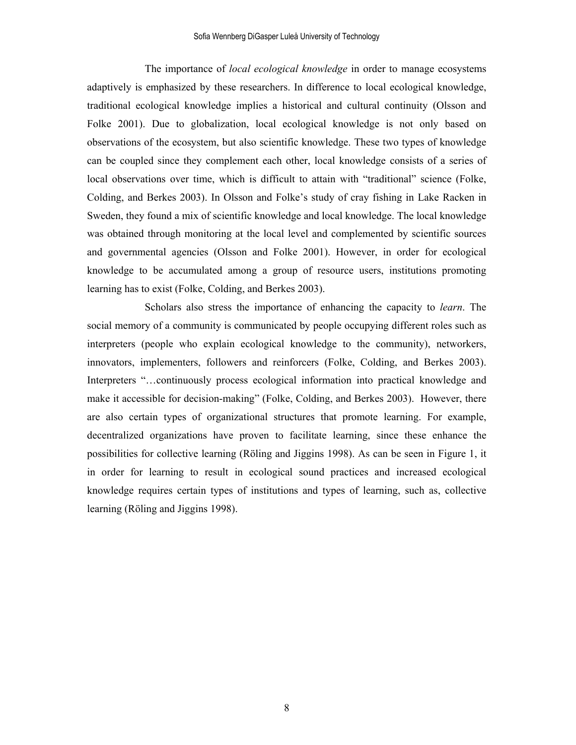The importance of *local ecological knowledge* in order to manage ecosystems adaptively is emphasized by these researchers. In difference to local ecological knowledge, traditional ecological knowledge implies a historical and cultural continuity (Olsson and Folke 2001). Due to globalization, local ecological knowledge is not only based on observations of the ecosystem, but also scientific knowledge. These two types of knowledge can be coupled since they complement each other, local knowledge consists of a series of local observations over time, which is difficult to attain with "traditional" science (Folke, Colding, and Berkes 2003). In Olsson and Folke's study of cray fishing in Lake Racken in Sweden, they found a mix of scientific knowledge and local knowledge. The local knowledge was obtained through monitoring at the local level and complemented by scientific sources and governmental agencies (Olsson and Folke 2001). However, in order for ecological knowledge to be accumulated among a group of resource users, institutions promoting learning has to exist (Folke, Colding, and Berkes 2003).

Scholars also stress the importance of enhancing the capacity to *learn*. The social memory of a community is communicated by people occupying different roles such as interpreters (people who explain ecological knowledge to the community), networkers, innovators, implementers, followers and reinforcers (Folke, Colding, and Berkes 2003). Interpreters "…continuously process ecological information into practical knowledge and make it accessible for decision-making" (Folke, Colding, and Berkes 2003). However, there are also certain types of organizational structures that promote learning. For example, decentralized organizations have proven to facilitate learning, since these enhance the possibilities for collective learning (Röling and Jiggins 1998). As can be seen in Figure 1, it in order for learning to result in ecological sound practices and increased ecological knowledge requires certain types of institutions and types of learning, such as, collective learning (Röling and Jiggins 1998).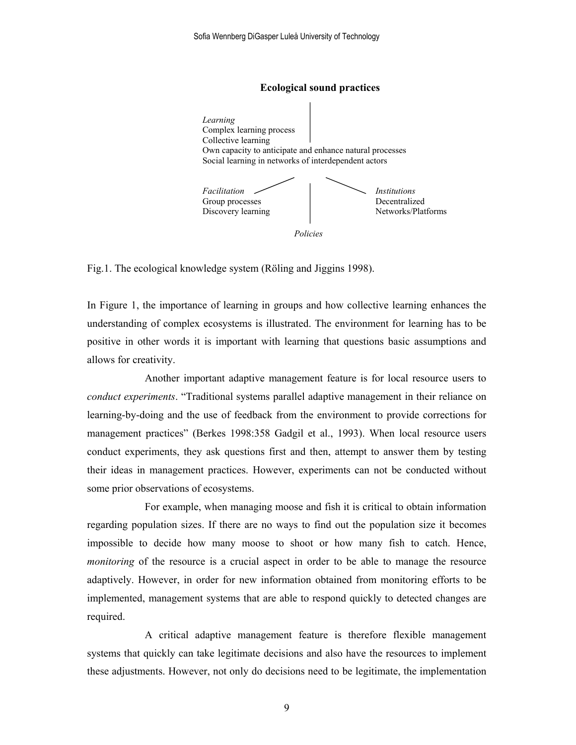

Fig.1. The ecological knowledge system (Röling and Jiggins 1998).

In Figure 1, the importance of learning in groups and how collective learning enhances the understanding of complex ecosystems is illustrated. The environment for learning has to be positive in other words it is important with learning that questions basic assumptions and allows for creativity.

Another important adaptive management feature is for local resource users to *conduct experiments*. "Traditional systems parallel adaptive management in their reliance on learning-by-doing and the use of feedback from the environment to provide corrections for management practices" (Berkes 1998:358 Gadgil et al., 1993). When local resource users conduct experiments, they ask questions first and then, attempt to answer them by testing their ideas in management practices. However, experiments can not be conducted without some prior observations of ecosystems.

For example, when managing moose and fish it is critical to obtain information regarding population sizes. If there are no ways to find out the population size it becomes impossible to decide how many moose to shoot or how many fish to catch. Hence, *monitoring* of the resource is a crucial aspect in order to be able to manage the resource adaptively. However, in order for new information obtained from monitoring efforts to be implemented, management systems that are able to respond quickly to detected changes are required.

 A critical adaptive management feature is therefore flexible management systems that quickly can take legitimate decisions and also have the resources to implement these adjustments. However, not only do decisions need to be legitimate, the implementation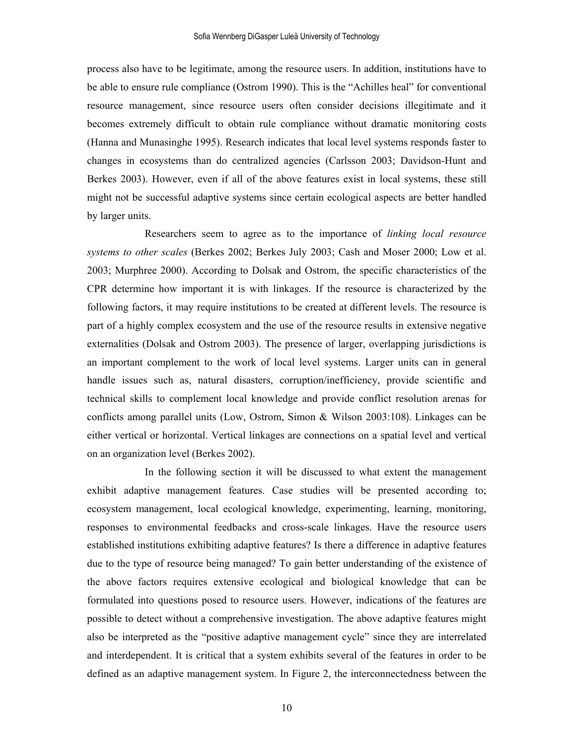process also have to be legitimate, among the resource users. In addition, institutions have to be able to ensure rule compliance (Ostrom 1990). This is the "Achilles heal" for conventional resource management, since resource users often consider decisions illegitimate and it becomes extremely difficult to obtain rule compliance without dramatic monitoring costs (Hanna and Munasinghe 1995). Research indicates that local level systems responds faster to changes in ecosystems than do centralized agencies (Carlsson 2003; Davidson-Hunt and Berkes 2003). However, even if all of the above features exist in local systems, these still might not be successful adaptive systems since certain ecological aspects are better handled by larger units.

Researchers seem to agree as to the importance of *linking local resource systems to other scales* (Berkes 2002; Berkes July 2003; Cash and Moser 2000; Low et al. 2003; Murphree 2000). According to Dolsak and Ostrom, the specific characteristics of the CPR determine how important it is with linkages. If the resource is characterized by the following factors, it may require institutions to be created at different levels. The resource is part of a highly complex ecosystem and the use of the resource results in extensive negative externalities (Dolsak and Ostrom 2003). The presence of larger, overlapping jurisdictions is an important complement to the work of local level systems. Larger units can in general handle issues such as, natural disasters, corruption/inefficiency, provide scientific and technical skills to complement local knowledge and provide conflict resolution arenas for conflicts among parallel units (Low, Ostrom, Simon & Wilson 2003:108). Linkages can be either vertical or horizontal. Vertical linkages are connections on a spatial level and vertical on an organization level (Berkes 2002).

 In the following section it will be discussed to what extent the management exhibit adaptive management features. Case studies will be presented according to; ecosystem management, local ecological knowledge, experimenting, learning, monitoring, responses to environmental feedbacks and cross-scale linkages. Have the resource users established institutions exhibiting adaptive features? Is there a difference in adaptive features due to the type of resource being managed? To gain better understanding of the existence of the above factors requires extensive ecological and biological knowledge that can be formulated into questions posed to resource users. However, indications of the features are possible to detect without a comprehensive investigation. The above adaptive features might also be interpreted as the "positive adaptive management cycle" since they are interrelated and interdependent. It is critical that a system exhibits several of the features in order to be defined as an adaptive management system. In Figure 2, the interconnectedness between the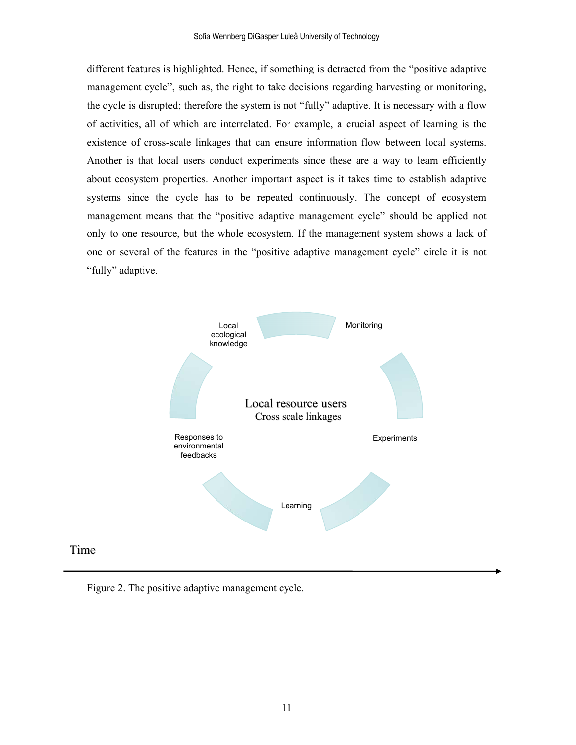different features is highlighted. Hence, if something is detracted from the "positive adaptive management cycle", such as, the right to take decisions regarding harvesting or monitoring, the cycle is disrupted; therefore the system is not "fully" adaptive. It is necessary with a flow of activities, all of which are interrelated. For example, a crucial aspect of learning is the existence of cross-scale linkages that can ensure information flow between local systems. Another is that local users conduct experiments since these are a way to learn efficiently about ecosystem properties. Another important aspect is it takes time to establish adaptive systems since the cycle has to be repeated continuously. The concept of ecosystem management means that the "positive adaptive management cycle" should be applied not only to one resource, but the whole ecosystem. If the management system shows a lack of one or several of the features in the "positive adaptive management cycle" circle it is not "fully" adaptive.



Figure 2. The positive adaptive management cycle.

Time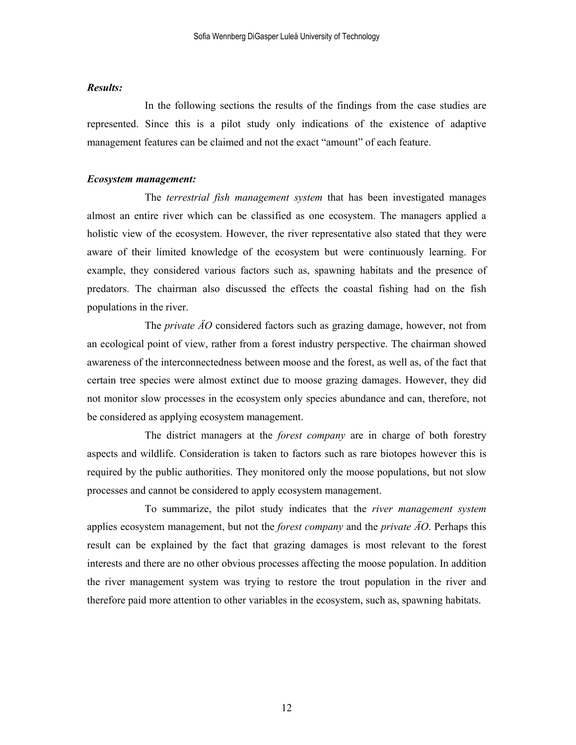# *Results:*

 In the following sections the results of the findings from the case studies are represented. Since this is a pilot study only indications of the existence of adaptive management features can be claimed and not the exact "amount" of each feature.

#### *Ecosystem management:*

The *terrestrial fish management system* that has been investigated manages almost an entire river which can be classified as one ecosystem. The managers applied a holistic view of the ecosystem. However, the river representative also stated that they were aware of their limited knowledge of the ecosystem but were continuously learning. For example, they considered various factors such as, spawning habitats and the presence of predators. The chairman also discussed the effects the coastal fishing had on the fish populations in the river.

The *private ÄO* considered factors such as grazing damage, however, not from an ecological point of view, rather from a forest industry perspective. The chairman showed awareness of the interconnectedness between moose and the forest, as well as, of the fact that certain tree species were almost extinct due to moose grazing damages. However, they did not monitor slow processes in the ecosystem only species abundance and can, therefore, not be considered as applying ecosystem management.

The district managers at the *forest company* are in charge of both forestry aspects and wildlife. Consideration is taken to factors such as rare biotopes however this is required by the public authorities. They monitored only the moose populations, but not slow processes and cannot be considered to apply ecosystem management.

To summarize, the pilot study indicates that the *river management system*  applies ecosystem management, but not the *forest company* and the *private ÄO*. Perhaps this result can be explained by the fact that grazing damages is most relevant to the forest interests and there are no other obvious processes affecting the moose population. In addition the river management system was trying to restore the trout population in the river and therefore paid more attention to other variables in the ecosystem, such as, spawning habitats.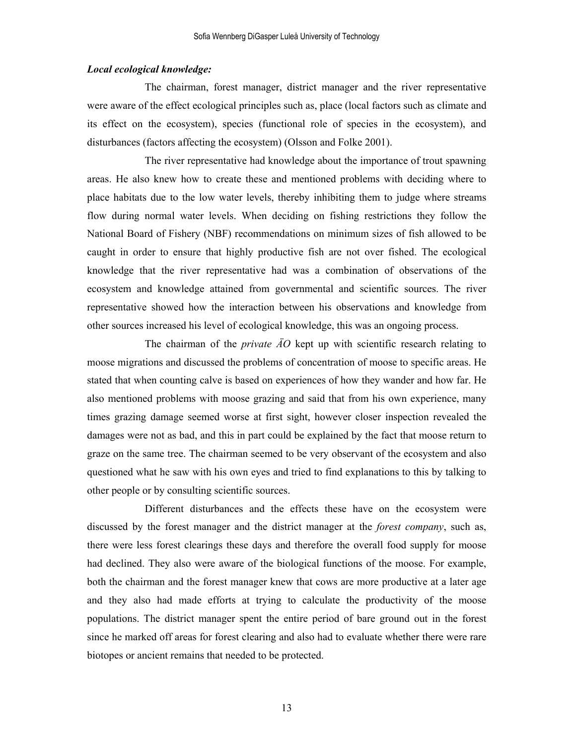#### *Local ecological knowledge:*

The chairman, forest manager, district manager and the river representative were aware of the effect ecological principles such as, place (local factors such as climate and its effect on the ecosystem), species (functional role of species in the ecosystem), and disturbances (factors affecting the ecosystem) (Olsson and Folke 2001).

The river representative had knowledge about the importance of trout spawning areas. He also knew how to create these and mentioned problems with deciding where to place habitats due to the low water levels, thereby inhibiting them to judge where streams flow during normal water levels. When deciding on fishing restrictions they follow the National Board of Fishery (NBF) recommendations on minimum sizes of fish allowed to be caught in order to ensure that highly productive fish are not over fished. The ecological knowledge that the river representative had was a combination of observations of the ecosystem and knowledge attained from governmental and scientific sources. The river representative showed how the interaction between his observations and knowledge from other sources increased his level of ecological knowledge, this was an ongoing process.

The chairman of the *private ÄO* kept up with scientific research relating to moose migrations and discussed the problems of concentration of moose to specific areas. He stated that when counting calve is based on experiences of how they wander and how far. He also mentioned problems with moose grazing and said that from his own experience, many times grazing damage seemed worse at first sight, however closer inspection revealed the damages were not as bad, and this in part could be explained by the fact that moose return to graze on the same tree. The chairman seemed to be very observant of the ecosystem and also questioned what he saw with his own eyes and tried to find explanations to this by talking to other people or by consulting scientific sources.

Different disturbances and the effects these have on the ecosystem were discussed by the forest manager and the district manager at the *forest company*, such as, there were less forest clearings these days and therefore the overall food supply for moose had declined. They also were aware of the biological functions of the moose. For example, both the chairman and the forest manager knew that cows are more productive at a later age and they also had made efforts at trying to calculate the productivity of the moose populations. The district manager spent the entire period of bare ground out in the forest since he marked off areas for forest clearing and also had to evaluate whether there were rare biotopes or ancient remains that needed to be protected.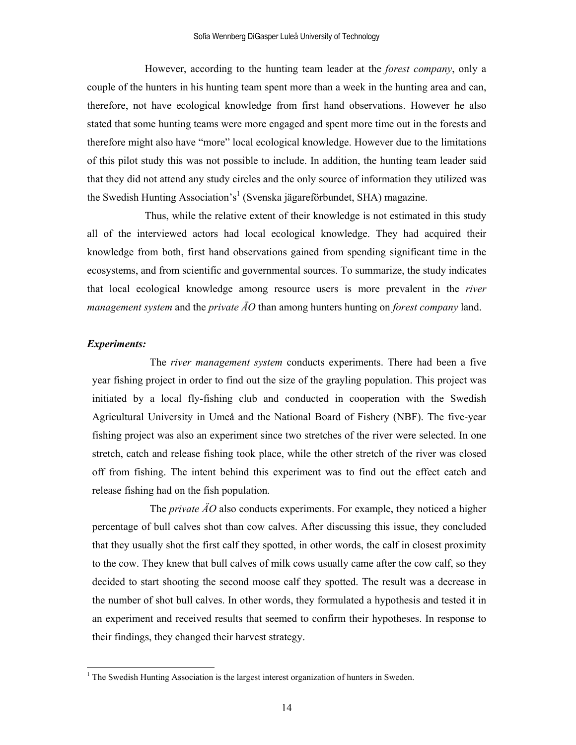However, according to the hunting team leader at the *forest company*, only a couple of the hunters in his hunting team spent more than a week in the hunting area and can, therefore, not have ecological knowledge from first hand observations. However he also stated that some hunting teams were more engaged and spent more time out in the forests and therefore might also have "more" local ecological knowledge. However due to the limitations of this pilot study this was not possible to include. In addition, the hunting team leader said that they did not attend any study circles and the only source of information they utilized was the Swedish Hunting Association's<sup>1</sup> (Svenska jägareförbundet, SHA) magazine.

Thus, while the relative extent of their knowledge is not estimated in this study all of the interviewed actors had local ecological knowledge. They had acquired their knowledge from both, first hand observations gained from spending significant time in the ecosystems, and from scientific and governmental sources. To summarize, the study indicates that local ecological knowledge among resource users is more prevalent in the *river management system* and the *private ÄO* than among hunters hunting on *forest company* land.

## *Experiments:*

l

The *river management system* conducts experiments. There had been a five year fishing project in order to find out the size of the grayling population. This project was initiated by a local fly-fishing club and conducted in cooperation with the Swedish Agricultural University in Umeå and the National Board of Fishery (NBF). The five-year fishing project was also an experiment since two stretches of the river were selected. In one stretch, catch and release fishing took place, while the other stretch of the river was closed off from fishing. The intent behind this experiment was to find out the effect catch and release fishing had on the fish population.

The *private ÄO* also conducts experiments. For example, they noticed a higher percentage of bull calves shot than cow calves. After discussing this issue, they concluded that they usually shot the first calf they spotted, in other words, the calf in closest proximity to the cow. They knew that bull calves of milk cows usually came after the cow calf, so they decided to start shooting the second moose calf they spotted. The result was a decrease in the number of shot bull calves. In other words, they formulated a hypothesis and tested it in an experiment and received results that seemed to confirm their hypotheses. In response to their findings, they changed their harvest strategy.

<sup>&</sup>lt;sup>1</sup> The Swedish Hunting Association is the largest interest organization of hunters in Sweden.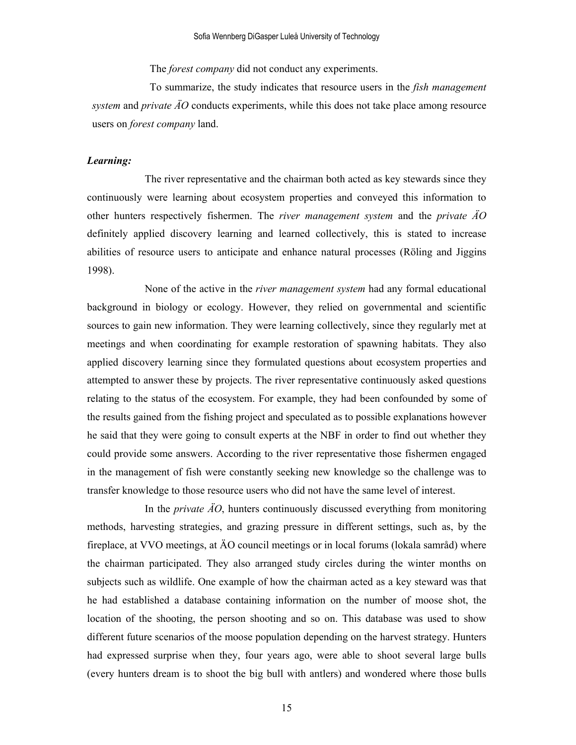The *forest company* did not conduct any experiments.

To summarize, the study indicates that resource users in the *fish management system* and *private ÄO* conducts experiments, while this does not take place among resource users on *forest company* land.

## *Learning:*

The river representative and the chairman both acted as key stewards since they continuously were learning about ecosystem properties and conveyed this information to other hunters respectively fishermen. The *river management system* and the *private ÄO* definitely applied discovery learning and learned collectively, this is stated to increase abilities of resource users to anticipate and enhance natural processes (Röling and Jiggins 1998).

None of the active in the *river management system* had any formal educational background in biology or ecology. However, they relied on governmental and scientific sources to gain new information. They were learning collectively, since they regularly met at meetings and when coordinating for example restoration of spawning habitats. They also applied discovery learning since they formulated questions about ecosystem properties and attempted to answer these by projects. The river representative continuously asked questions relating to the status of the ecosystem. For example, they had been confounded by some of the results gained from the fishing project and speculated as to possible explanations however he said that they were going to consult experts at the NBF in order to find out whether they could provide some answers. According to the river representative those fishermen engaged in the management of fish were constantly seeking new knowledge so the challenge was to transfer knowledge to those resource users who did not have the same level of interest.

In the *private ÄO*, hunters continuously discussed everything from monitoring methods, harvesting strategies, and grazing pressure in different settings, such as, by the fireplace, at VVO meetings, at ÄO council meetings or in local forums (lokala samråd) where the chairman participated. They also arranged study circles during the winter months on subjects such as wildlife. One example of how the chairman acted as a key steward was that he had established a database containing information on the number of moose shot, the location of the shooting, the person shooting and so on. This database was used to show different future scenarios of the moose population depending on the harvest strategy. Hunters had expressed surprise when they, four years ago, were able to shoot several large bulls (every hunters dream is to shoot the big bull with antlers) and wondered where those bulls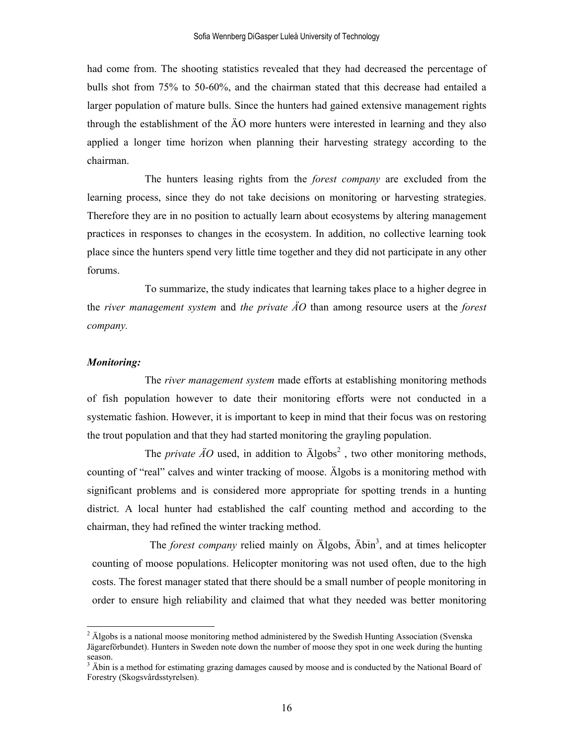had come from. The shooting statistics revealed that they had decreased the percentage of bulls shot from 75% to 50-60%, and the chairman stated that this decrease had entailed a larger population of mature bulls. Since the hunters had gained extensive management rights through the establishment of the ÄO more hunters were interested in learning and they also applied a longer time horizon when planning their harvesting strategy according to the chairman.

The hunters leasing rights from the *forest company* are excluded from the learning process, since they do not take decisions on monitoring or harvesting strategies. Therefore they are in no position to actually learn about ecosystems by altering management practices in responses to changes in the ecosystem. In addition, no collective learning took place since the hunters spend very little time together and they did not participate in any other forums.

To summarize, the study indicates that learning takes place to a higher degree in the *river management system* and *the private ÄO* than among resource users at the *forest company.*

### *Monitoring:*

 $\overline{a}$ 

The *river management system* made efforts at establishing monitoring methods of fish population however to date their monitoring efforts were not conducted in a systematic fashion. However, it is important to keep in mind that their focus was on restoring the trout population and that they had started monitoring the grayling population.

The *private*  $\overline{AO}$  used, in addition to  $\overline{Algobs}^2$ , two other monitoring methods, counting of "real" calves and winter tracking of moose. Älgobs is a monitoring method with significant problems and is considered more appropriate for spotting trends in a hunting district. A local hunter had established the calf counting method and according to the chairman, they had refined the winter tracking method.

The *forest company* relied mainly on Algobs, Abin<sup>3</sup>, and at times helicopter counting of moose populations. Helicopter monitoring was not used often, due to the high costs. The forest manager stated that there should be a small number of people monitoring in order to ensure high reliability and claimed that what they needed was better monitoring

 $2$  Älgobs is a national moose monitoring method administered by the Swedish Hunting Association (Svenska Jägareförbundet). Hunters in Sweden note down the number of moose they spot in one week during the hunting season.

<sup>&</sup>lt;sup>3</sup> Äbin is a method for estimating grazing damages caused by moose and is conducted by the National Board of Forestry (Skogsvårdsstyrelsen).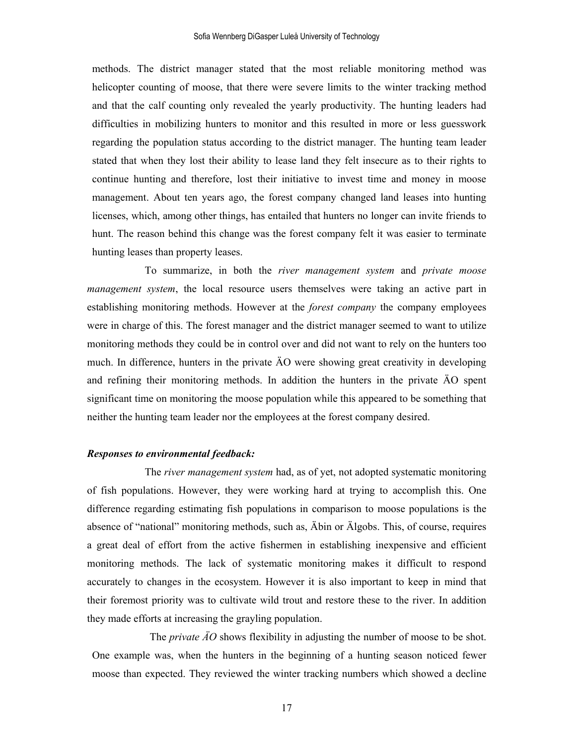methods. The district manager stated that the most reliable monitoring method was helicopter counting of moose, that there were severe limits to the winter tracking method and that the calf counting only revealed the yearly productivity. The hunting leaders had difficulties in mobilizing hunters to monitor and this resulted in more or less guesswork regarding the population status according to the district manager. The hunting team leader stated that when they lost their ability to lease land they felt insecure as to their rights to continue hunting and therefore, lost their initiative to invest time and money in moose management. About ten years ago, the forest company changed land leases into hunting licenses, which, among other things, has entailed that hunters no longer can invite friends to hunt. The reason behind this change was the forest company felt it was easier to terminate hunting leases than property leases.

 To summarize, in both the *river management system* and *private moose management system*, the local resource users themselves were taking an active part in establishing monitoring methods. However at the *forest company* the company employees were in charge of this. The forest manager and the district manager seemed to want to utilize monitoring methods they could be in control over and did not want to rely on the hunters too much. In difference, hunters in the private ÄO were showing great creativity in developing and refining their monitoring methods. In addition the hunters in the private ÄO spent significant time on monitoring the moose population while this appeared to be something that neither the hunting team leader nor the employees at the forest company desired.

#### *Responses to environmental feedback:*

The *river management system* had, as of yet, not adopted systematic monitoring of fish populations. However, they were working hard at trying to accomplish this. One difference regarding estimating fish populations in comparison to moose populations is the absence of "national" monitoring methods, such as, Äbin or Älgobs. This, of course, requires a great deal of effort from the active fishermen in establishing inexpensive and efficient monitoring methods. The lack of systematic monitoring makes it difficult to respond accurately to changes in the ecosystem. However it is also important to keep in mind that their foremost priority was to cultivate wild trout and restore these to the river. In addition they made efforts at increasing the grayling population.

The *private ÄO* shows flexibility in adjusting the number of moose to be shot. One example was, when the hunters in the beginning of a hunting season noticed fewer moose than expected. They reviewed the winter tracking numbers which showed a decline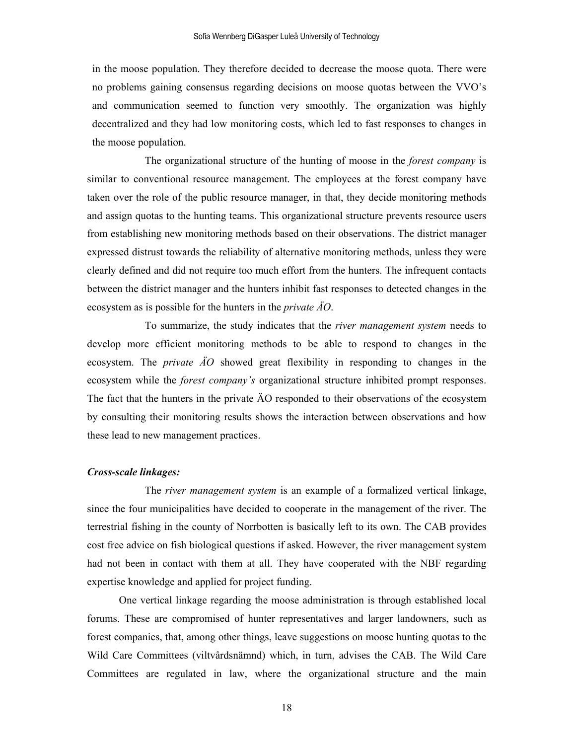in the moose population. They therefore decided to decrease the moose quota. There were no problems gaining consensus regarding decisions on moose quotas between the VVO's and communication seemed to function very smoothly. The organization was highly decentralized and they had low monitoring costs, which led to fast responses to changes in the moose population.

The organizational structure of the hunting of moose in the *forest company* is similar to conventional resource management. The employees at the forest company have taken over the role of the public resource manager, in that, they decide monitoring methods and assign quotas to the hunting teams. This organizational structure prevents resource users from establishing new monitoring methods based on their observations. The district manager expressed distrust towards the reliability of alternative monitoring methods, unless they were clearly defined and did not require too much effort from the hunters. The infrequent contacts between the district manager and the hunters inhibit fast responses to detected changes in the ecosystem as is possible for the hunters in the *private ÄO*.

To summarize, the study indicates that the *river management system* needs to develop more efficient monitoring methods to be able to respond to changes in the ecosystem. The *private ÄO* showed great flexibility in responding to changes in the ecosystem while the *forest company's* organizational structure inhibited prompt responses. The fact that the hunters in the private ÄO responded to their observations of the ecosystem by consulting their monitoring results shows the interaction between observations and how these lead to new management practices.

#### *Cross-scale linkages:*

The *river management system* is an example of a formalized vertical linkage, since the four municipalities have decided to cooperate in the management of the river. The terrestrial fishing in the county of Norrbotten is basically left to its own. The CAB provides cost free advice on fish biological questions if asked. However, the river management system had not been in contact with them at all. They have cooperated with the NBF regarding expertise knowledge and applied for project funding.

One vertical linkage regarding the moose administration is through established local forums. These are compromised of hunter representatives and larger landowners, such as forest companies, that, among other things, leave suggestions on moose hunting quotas to the Wild Care Committees (viltvårdsnämnd) which, in turn, advises the CAB. The Wild Care Committees are regulated in law, where the organizational structure and the main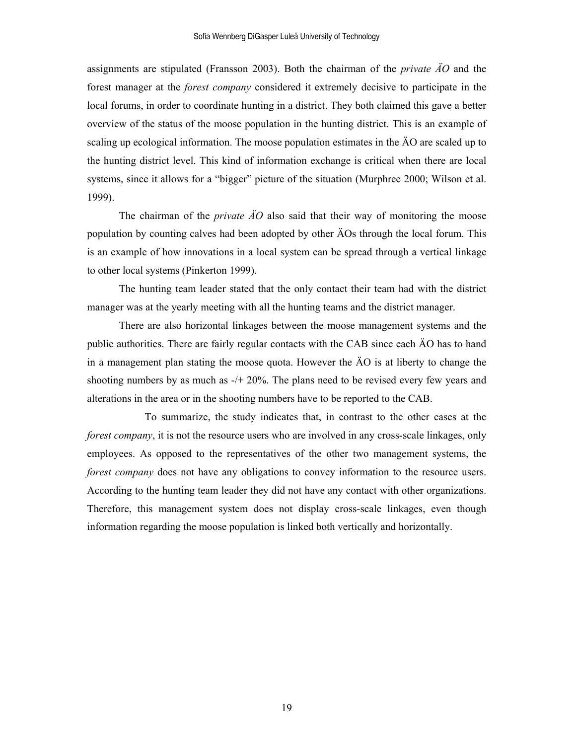assignments are stipulated (Fransson 2003). Both the chairman of the *private ÄO* and the forest manager at the *forest company* considered it extremely decisive to participate in the local forums, in order to coordinate hunting in a district. They both claimed this gave a better overview of the status of the moose population in the hunting district. This is an example of scaling up ecological information. The moose population estimates in the ÄO are scaled up to the hunting district level. This kind of information exchange is critical when there are local systems, since it allows for a "bigger" picture of the situation (Murphree 2000; Wilson et al. 1999).

The chairman of the *private ÄO* also said that their way of monitoring the moose population by counting calves had been adopted by other ÄOs through the local forum. This is an example of how innovations in a local system can be spread through a vertical linkage to other local systems (Pinkerton 1999).

The hunting team leader stated that the only contact their team had with the district manager was at the yearly meeting with all the hunting teams and the district manager.

There are also horizontal linkages between the moose management systems and the public authorities. There are fairly regular contacts with the CAB since each ÄO has to hand in a management plan stating the moose quota. However the ÄO is at liberty to change the shooting numbers by as much as -/+ 20%. The plans need to be revised every few years and alterations in the area or in the shooting numbers have to be reported to the CAB.

To summarize, the study indicates that, in contrast to the other cases at the *forest company*, it is not the resource users who are involved in any cross-scale linkages, only employees. As opposed to the representatives of the other two management systems, the *forest company* does not have any obligations to convey information to the resource users. According to the hunting team leader they did not have any contact with other organizations. Therefore, this management system does not display cross-scale linkages, even though information regarding the moose population is linked both vertically and horizontally.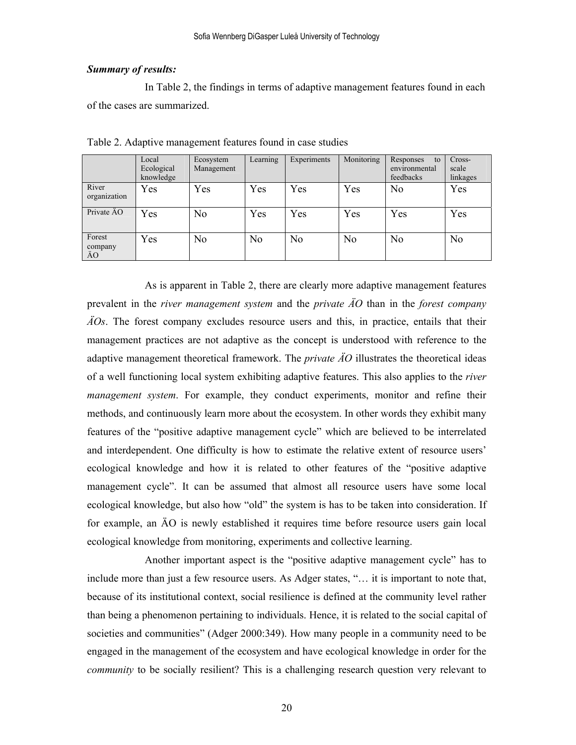## *Summary of results:*

In Table 2, the findings in terms of adaptive management features found in each of the cases are summarized.

|                         | Local      | Ecosystem      | Learning       | Experiments    | Monitoring     | Responses<br>to | Cross-         |
|-------------------------|------------|----------------|----------------|----------------|----------------|-----------------|----------------|
|                         | Ecological | Management     |                |                |                | environmental   | scale          |
|                         | knowledge  |                |                |                |                | feedbacks       | linkages       |
| River<br>organization   | Yes        | Yes            | Yes            | Yes            | Yes            | No              | Yes            |
| Private AO              | Yes        | N <sub>0</sub> | Yes            | Yes            | Yes            | Yes             | Yes            |
| Forest<br>company<br>ÄO | Yes        | N <sub>0</sub> | N <sub>0</sub> | N <sub>0</sub> | N <sub>0</sub> | N <sub>0</sub>  | N <sub>o</sub> |

Table 2. Adaptive management features found in case studies

As is apparent in Table 2, there are clearly more adaptive management features prevalent in the *river management system* and the *private ÄO* than in the *forest company ÄOs*. The forest company excludes resource users and this, in practice, entails that their management practices are not adaptive as the concept is understood with reference to the adaptive management theoretical framework. The *private ÄO* illustrates the theoretical ideas of a well functioning local system exhibiting adaptive features. This also applies to the *river management system*. For example, they conduct experiments, monitor and refine their methods, and continuously learn more about the ecosystem. In other words they exhibit many features of the "positive adaptive management cycle" which are believed to be interrelated and interdependent. One difficulty is how to estimate the relative extent of resource users' ecological knowledge and how it is related to other features of the "positive adaptive management cycle". It can be assumed that almost all resource users have some local ecological knowledge, but also how "old" the system is has to be taken into consideration. If for example, an ÄO is newly established it requires time before resource users gain local ecological knowledge from monitoring, experiments and collective learning.

Another important aspect is the "positive adaptive management cycle" has to include more than just a few resource users. As Adger states, "… it is important to note that, because of its institutional context, social resilience is defined at the community level rather than being a phenomenon pertaining to individuals. Hence, it is related to the social capital of societies and communities" (Adger 2000:349). How many people in a community need to be engaged in the management of the ecosystem and have ecological knowledge in order for the *community* to be socially resilient? This is a challenging research question very relevant to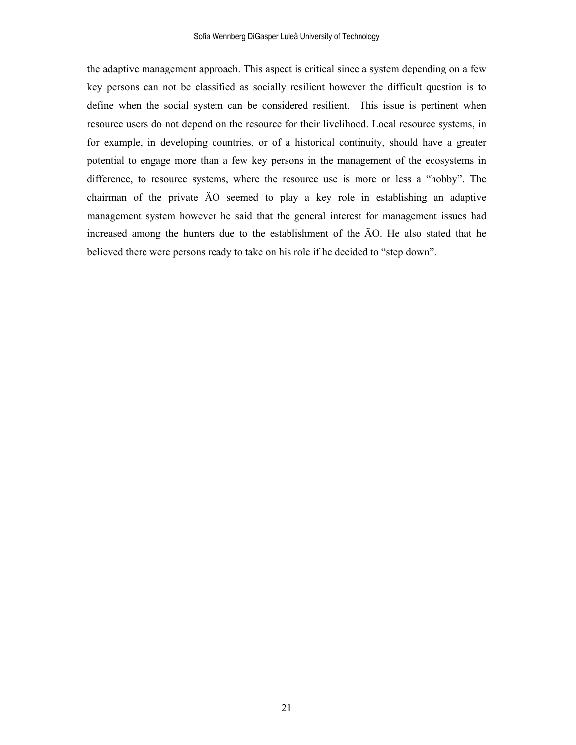the adaptive management approach. This aspect is critical since a system depending on a few key persons can not be classified as socially resilient however the difficult question is to define when the social system can be considered resilient. This issue is pertinent when resource users do not depend on the resource for their livelihood. Local resource systems, in for example, in developing countries, or of a historical continuity, should have a greater potential to engage more than a few key persons in the management of the ecosystems in difference, to resource systems, where the resource use is more or less a "hobby". The chairman of the private ÄO seemed to play a key role in establishing an adaptive management system however he said that the general interest for management issues had increased among the hunters due to the establishment of the ÄO. He also stated that he believed there were persons ready to take on his role if he decided to "step down".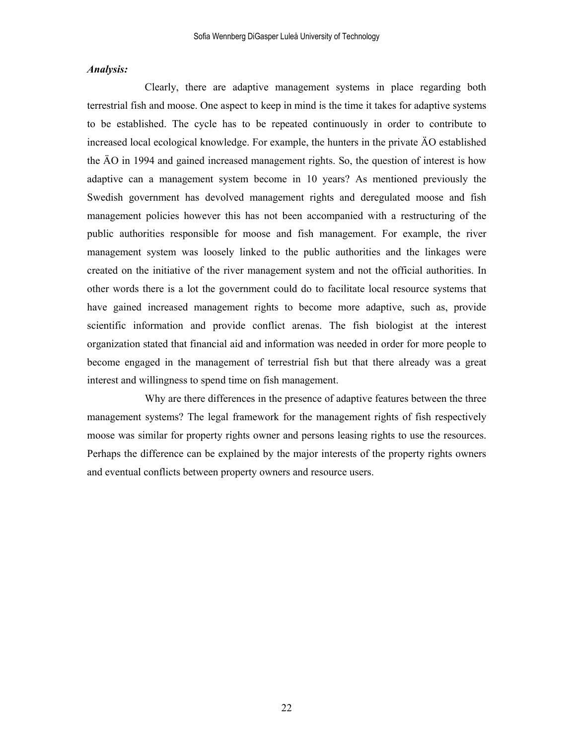### *Analysis:*

Clearly, there are adaptive management systems in place regarding both terrestrial fish and moose. One aspect to keep in mind is the time it takes for adaptive systems to be established. The cycle has to be repeated continuously in order to contribute to increased local ecological knowledge. For example, the hunters in the private ÄO established the ÄO in 1994 and gained increased management rights. So, the question of interest is how adaptive can a management system become in 10 years? As mentioned previously the Swedish government has devolved management rights and deregulated moose and fish management policies however this has not been accompanied with a restructuring of the public authorities responsible for moose and fish management. For example, the river management system was loosely linked to the public authorities and the linkages were created on the initiative of the river management system and not the official authorities. In other words there is a lot the government could do to facilitate local resource systems that have gained increased management rights to become more adaptive, such as, provide scientific information and provide conflict arenas. The fish biologist at the interest organization stated that financial aid and information was needed in order for more people to become engaged in the management of terrestrial fish but that there already was a great interest and willingness to spend time on fish management.

Why are there differences in the presence of adaptive features between the three management systems? The legal framework for the management rights of fish respectively moose was similar for property rights owner and persons leasing rights to use the resources. Perhaps the difference can be explained by the major interests of the property rights owners and eventual conflicts between property owners and resource users.

22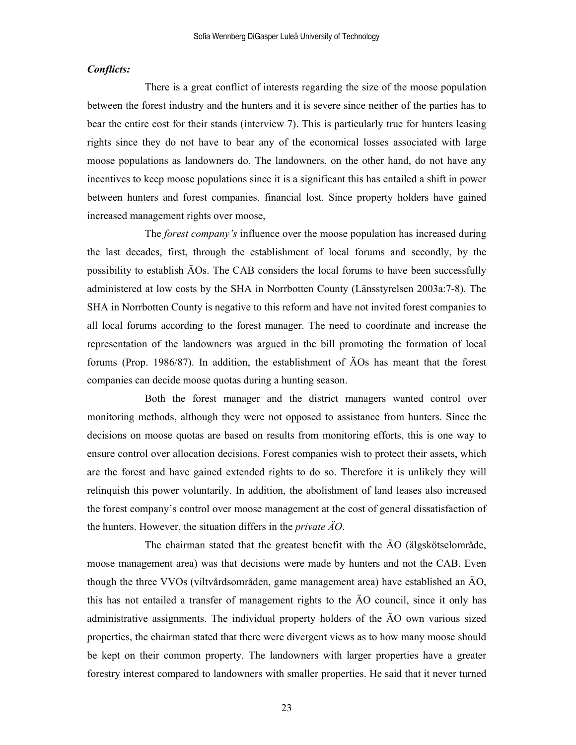## *Conflicts:*

There is a great conflict of interests regarding the size of the moose population between the forest industry and the hunters and it is severe since neither of the parties has to bear the entire cost for their stands (interview 7). This is particularly true for hunters leasing rights since they do not have to bear any of the economical losses associated with large moose populations as landowners do. The landowners, on the other hand, do not have any incentives to keep moose populations since it is a significant this has entailed a shift in power between hunters and forest companies. financial lost. Since property holders have gained increased management rights over moose,

The *forest company's* influence over the moose population has increased during the last decades, first, through the establishment of local forums and secondly, by the possibility to establish ÄOs. The CAB considers the local forums to have been successfully administered at low costs by the SHA in Norrbotten County (Länsstyrelsen 2003a:7-8). The SHA in Norrbotten County is negative to this reform and have not invited forest companies to all local forums according to the forest manager. The need to coordinate and increase the representation of the landowners was argued in the bill promoting the formation of local forums (Prop. 1986/87). In addition, the establishment of ÄOs has meant that the forest companies can decide moose quotas during a hunting season.

Both the forest manager and the district managers wanted control over monitoring methods, although they were not opposed to assistance from hunters. Since the decisions on moose quotas are based on results from monitoring efforts, this is one way to ensure control over allocation decisions. Forest companies wish to protect their assets, which are the forest and have gained extended rights to do so. Therefore it is unlikely they will relinquish this power voluntarily. In addition, the abolishment of land leases also increased the forest company's control over moose management at the cost of general dissatisfaction of the hunters. However, the situation differs in the *private ÄO*.

The chairman stated that the greatest benefit with the ÄO (älgskötselområde, moose management area) was that decisions were made by hunters and not the CAB. Even though the three VVOs (viltvårdsområden, game management area) have established an ÄO, this has not entailed a transfer of management rights to the ÄO council, since it only has administrative assignments. The individual property holders of the ÄO own various sized properties, the chairman stated that there were divergent views as to how many moose should be kept on their common property. The landowners with larger properties have a greater forestry interest compared to landowners with smaller properties. He said that it never turned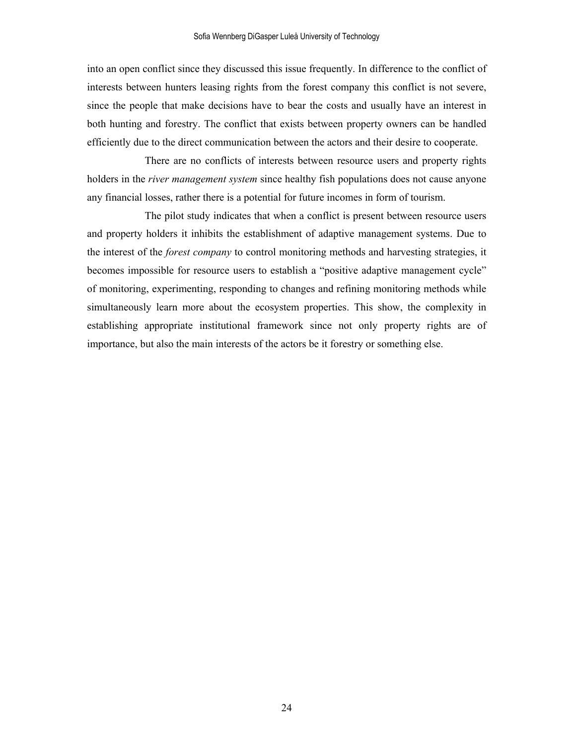into an open conflict since they discussed this issue frequently. In difference to the conflict of interests between hunters leasing rights from the forest company this conflict is not severe, since the people that make decisions have to bear the costs and usually have an interest in both hunting and forestry. The conflict that exists between property owners can be handled efficiently due to the direct communication between the actors and their desire to cooperate.

There are no conflicts of interests between resource users and property rights holders in the *river management system* since healthy fish populations does not cause anyone any financial losses, rather there is a potential for future incomes in form of tourism.

The pilot study indicates that when a conflict is present between resource users and property holders it inhibits the establishment of adaptive management systems. Due to the interest of the *forest company* to control monitoring methods and harvesting strategies, it becomes impossible for resource users to establish a "positive adaptive management cycle" of monitoring, experimenting, responding to changes and refining monitoring methods while simultaneously learn more about the ecosystem properties. This show, the complexity in establishing appropriate institutional framework since not only property rights are of importance, but also the main interests of the actors be it forestry or something else.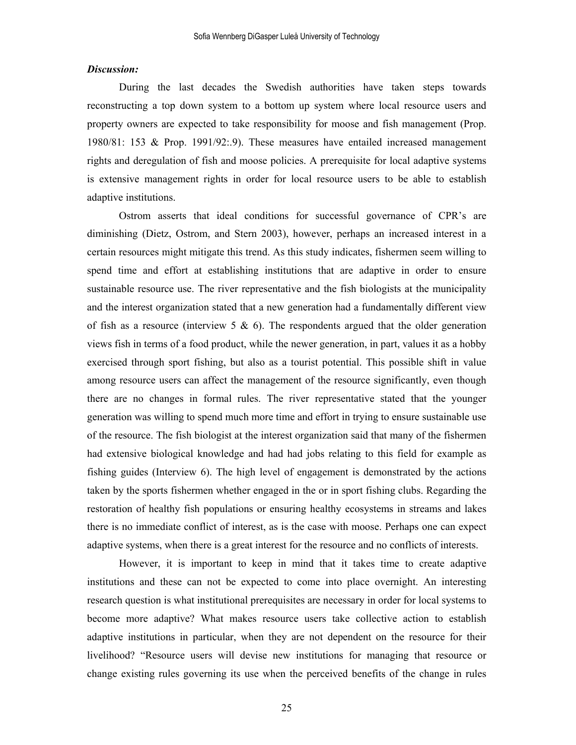## *Discussion:*

During the last decades the Swedish authorities have taken steps towards reconstructing a top down system to a bottom up system where local resource users and property owners are expected to take responsibility for moose and fish management (Prop. 1980/81: 153 & Prop. 1991/92:.9). These measures have entailed increased management rights and deregulation of fish and moose policies. A prerequisite for local adaptive systems is extensive management rights in order for local resource users to be able to establish adaptive institutions.

Ostrom asserts that ideal conditions for successful governance of CPR's are diminishing (Dietz, Ostrom, and Stern 2003), however, perhaps an increased interest in a certain resources might mitigate this trend. As this study indicates, fishermen seem willing to spend time and effort at establishing institutions that are adaptive in order to ensure sustainable resource use. The river representative and the fish biologists at the municipality and the interest organization stated that a new generation had a fundamentally different view of fish as a resource (interview 5  $\&$  6). The respondents argued that the older generation views fish in terms of a food product, while the newer generation, in part, values it as a hobby exercised through sport fishing, but also as a tourist potential. This possible shift in value among resource users can affect the management of the resource significantly, even though there are no changes in formal rules. The river representative stated that the younger generation was willing to spend much more time and effort in trying to ensure sustainable use of the resource. The fish biologist at the interest organization said that many of the fishermen had extensive biological knowledge and had had jobs relating to this field for example as fishing guides (Interview 6). The high level of engagement is demonstrated by the actions taken by the sports fishermen whether engaged in the or in sport fishing clubs. Regarding the restoration of healthy fish populations or ensuring healthy ecosystems in streams and lakes there is no immediate conflict of interest, as is the case with moose. Perhaps one can expect adaptive systems, when there is a great interest for the resource and no conflicts of interests.

However, it is important to keep in mind that it takes time to create adaptive institutions and these can not be expected to come into place overnight. An interesting research question is what institutional prerequisites are necessary in order for local systems to become more adaptive? What makes resource users take collective action to establish adaptive institutions in particular, when they are not dependent on the resource for their livelihood? "Resource users will devise new institutions for managing that resource or change existing rules governing its use when the perceived benefits of the change in rules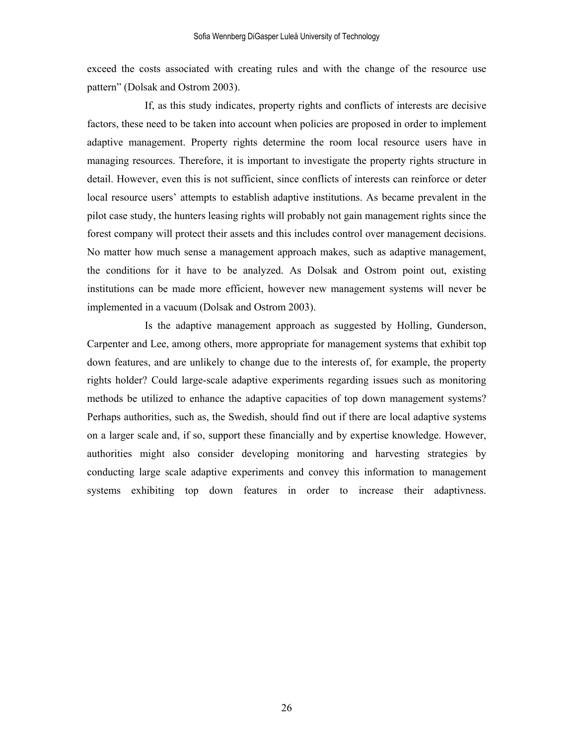exceed the costs associated with creating rules and with the change of the resource use pattern" (Dolsak and Ostrom 2003).

If, as this study indicates, property rights and conflicts of interests are decisive factors, these need to be taken into account when policies are proposed in order to implement adaptive management. Property rights determine the room local resource users have in managing resources. Therefore, it is important to investigate the property rights structure in detail. However, even this is not sufficient, since conflicts of interests can reinforce or deter local resource users' attempts to establish adaptive institutions. As became prevalent in the pilot case study, the hunters leasing rights will probably not gain management rights since the forest company will protect their assets and this includes control over management decisions. No matter how much sense a management approach makes, such as adaptive management, the conditions for it have to be analyzed. As Dolsak and Ostrom point out, existing institutions can be made more efficient, however new management systems will never be implemented in a vacuum (Dolsak and Ostrom 2003).

Is the adaptive management approach as suggested by Holling, Gunderson, Carpenter and Lee, among others, more appropriate for management systems that exhibit top down features, and are unlikely to change due to the interests of, for example, the property rights holder? Could large-scale adaptive experiments regarding issues such as monitoring methods be utilized to enhance the adaptive capacities of top down management systems? Perhaps authorities, such as, the Swedish, should find out if there are local adaptive systems on a larger scale and, if so, support these financially and by expertise knowledge. However, authorities might also consider developing monitoring and harvesting strategies by conducting large scale adaptive experiments and convey this information to management systems exhibiting top down features in order to increase their adaptivness.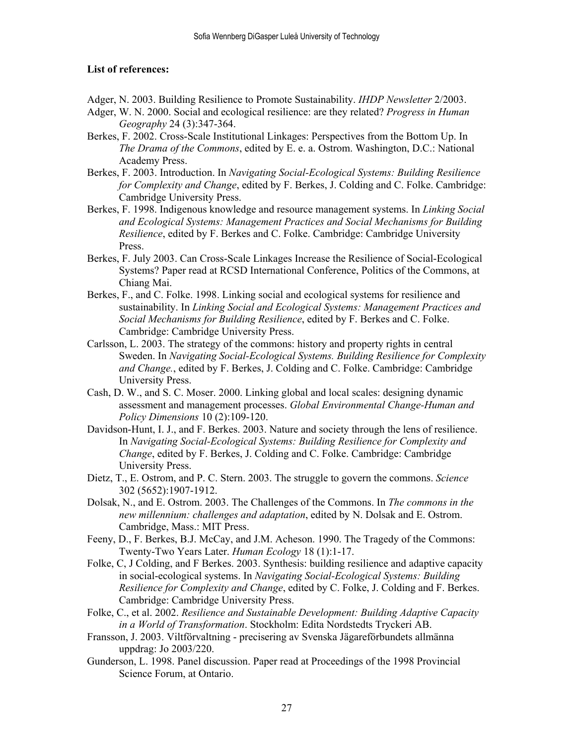## **List of references:**

Adger, N. 2003. Building Resilience to Promote Sustainability. *IHDP Newsletter* 2/2003.

- Adger, W. N. 2000. Social and ecological resilience: are they related? *Progress in Human Geography* 24 (3):347-364.
- Berkes, F. 2002. Cross-Scale Institutional Linkages: Perspectives from the Bottom Up. In *The Drama of the Commons*, edited by E. e. a. Ostrom. Washington, D.C.: National Academy Press.
- Berkes, F. 2003. Introduction. In *Navigating Social-Ecological Systems: Building Resilience for Complexity and Change*, edited by F. Berkes, J. Colding and C. Folke. Cambridge: Cambridge University Press.
- Berkes, F. 1998. Indigenous knowledge and resource management systems. In *Linking Social and Ecological Systems: Management Practices and Social Mechanisms for Building Resilience*, edited by F. Berkes and C. Folke. Cambridge: Cambridge University Press.
- Berkes, F. July 2003. Can Cross-Scale Linkages Increase the Resilience of Social-Ecological Systems? Paper read at RCSD International Conference, Politics of the Commons, at Chiang Mai.
- Berkes, F., and C. Folke. 1998. Linking social and ecological systems for resilience and sustainability. In *Linking Social and Ecological Systems: Management Practices and Social Mechanisms for Building Resilience*, edited by F. Berkes and C. Folke. Cambridge: Cambridge University Press.
- Carlsson, L. 2003. The strategy of the commons: history and property rights in central Sweden. In *Navigating Social-Ecological Systems. Building Resilience for Complexity and Change.*, edited by F. Berkes, J. Colding and C. Folke. Cambridge: Cambridge University Press.
- Cash, D. W., and S. C. Moser. 2000. Linking global and local scales: designing dynamic assessment and management processes. *Global Environmental Change-Human and Policy Dimensions* 10 (2):109-120.
- Davidson-Hunt, I. J., and F. Berkes. 2003. Nature and society through the lens of resilience. In *Navigating Social-Ecological Systems: Building Resilience for Complexity and Change*, edited by F. Berkes, J. Colding and C. Folke. Cambridge: Cambridge University Press.
- Dietz, T., E. Ostrom, and P. C. Stern. 2003. The struggle to govern the commons. *Science* 302 (5652):1907-1912.
- Dolsak, N., and E. Ostrom. 2003. The Challenges of the Commons. In *The commons in the new millennium: challenges and adaptation*, edited by N. Dolsak and E. Ostrom. Cambridge, Mass.: MIT Press.
- Feeny, D., F. Berkes, B.J. McCay, and J.M. Acheson. 1990. The Tragedy of the Commons: Twenty-Two Years Later. *Human Ecology* 18 (1):1-17.
- Folke, C, J Colding, and F Berkes. 2003. Synthesis: building resilience and adaptive capacity in social-ecological systems. In *Navigating Social-Ecological Systems: Building Resilience for Complexity and Change*, edited by C. Folke, J. Colding and F. Berkes. Cambridge: Cambridge University Press.
- Folke, C., et al. 2002. *Resilience and Sustainable Development: Building Adaptive Capacity in a World of Transformation*. Stockholm: Edita Nordstedts Tryckeri AB.
- Fransson, J. 2003. Viltförvaltning precisering av Svenska Jägareförbundets allmänna uppdrag: Jo 2003/220.
- Gunderson, L. 1998. Panel discussion. Paper read at Proceedings of the 1998 Provincial Science Forum, at Ontario.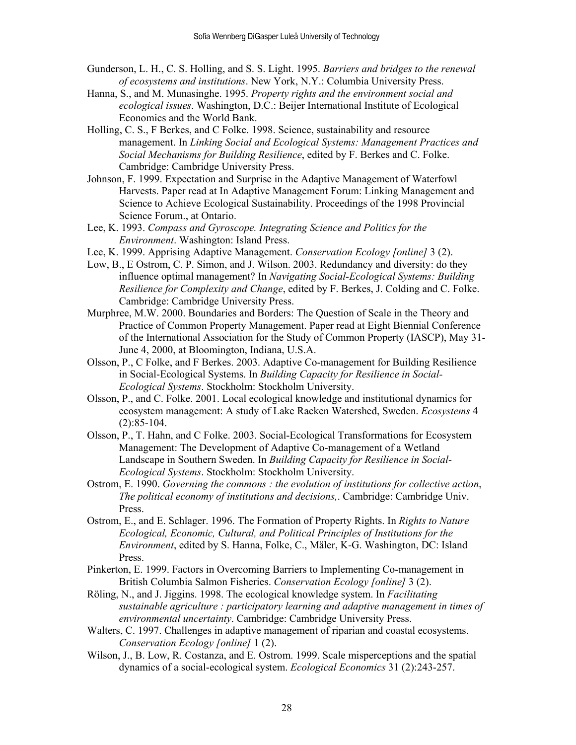- Gunderson, L. H., C. S. Holling, and S. S. Light. 1995. *Barriers and bridges to the renewal of ecosystems and institutions*. New York, N.Y.: Columbia University Press.
- Hanna, S., and M. Munasinghe. 1995. *Property rights and the environment social and ecological issues*. Washington, D.C.: Beijer International Institute of Ecological Economics and the World Bank.
- Holling, C. S., F Berkes, and C Folke. 1998. Science, sustainability and resource management. In *Linking Social and Ecological Systems: Management Practices and Social Mechanisms for Building Resilience*, edited by F. Berkes and C. Folke. Cambridge: Cambridge University Press.
- Johnson, F. 1999. Expectation and Surprise in the Adaptive Management of Waterfowl Harvests. Paper read at In Adaptive Management Forum: Linking Management and Science to Achieve Ecological Sustainability. Proceedings of the 1998 Provincial Science Forum., at Ontario.
- Lee, K. 1993. *Compass and Gyroscope. Integrating Science and Politics for the Environment*. Washington: Island Press.
- Lee, K. 1999. Apprising Adaptive Management. *Conservation Ecology [online]* 3 (2).
- Low, B., E Ostrom, C. P. Simon, and J. Wilson. 2003. Redundancy and diversity: do they influence optimal management? In *Navigating Social-Ecological Systems: Building Resilience for Complexity and Change*, edited by F. Berkes, J. Colding and C. Folke. Cambridge: Cambridge University Press.
- Murphree, M.W. 2000. Boundaries and Borders: The Question of Scale in the Theory and Practice of Common Property Management. Paper read at Eight Biennial Conference of the International Association for the Study of Common Property (IASCP), May 31- June 4, 2000, at Bloomington, Indiana, U.S.A.
- Olsson, P., C Folke, and F Berkes. 2003. Adaptive Co-management for Building Resilience in Social-Ecological Systems. In *Building Capacity for Resilience in Social-Ecological Systems*. Stockholm: Stockholm University.
- Olsson, P., and C. Folke. 2001. Local ecological knowledge and institutional dynamics for ecosystem management: A study of Lake Racken Watershed, Sweden. *Ecosystems* 4 (2):85-104.
- Olsson, P., T. Hahn, and C Folke. 2003. Social-Ecological Transformations for Ecosystem Management: The Development of Adaptive Co-management of a Wetland Landscape in Southern Sweden. In *Building Capacity for Resilience in Social-Ecological Systems*. Stockholm: Stockholm University.
- Ostrom, E. 1990. *Governing the commons : the evolution of institutions for collective action*, *The political economy of institutions and decisions,*. Cambridge: Cambridge Univ. Press.
- Ostrom, E., and E. Schlager. 1996. The Formation of Property Rights. In *Rights to Nature Ecological, Economic, Cultural, and Political Principles of Institutions for the Environment*, edited by S. Hanna, Folke, C., Mäler, K-G. Washington, DC: Island Press.
- Pinkerton, E. 1999. Factors in Overcoming Barriers to Implementing Co-management in British Columbia Salmon Fisheries. *Conservation Ecology [online]* 3 (2).
- Röling, N., and J. Jiggins. 1998. The ecological knowledge system. In *Facilitating sustainable agriculture : participatory learning and adaptive management in times of environmental uncertainty*. Cambridge: Cambridge University Press.
- Walters, C. 1997. Challenges in adaptive management of riparian and coastal ecosystems. *Conservation Ecology [online]* 1 (2).
- Wilson, J., B. Low, R. Costanza, and E. Ostrom. 1999. Scale misperceptions and the spatial dynamics of a social-ecological system. *Ecological Economics* 31 (2):243-257.